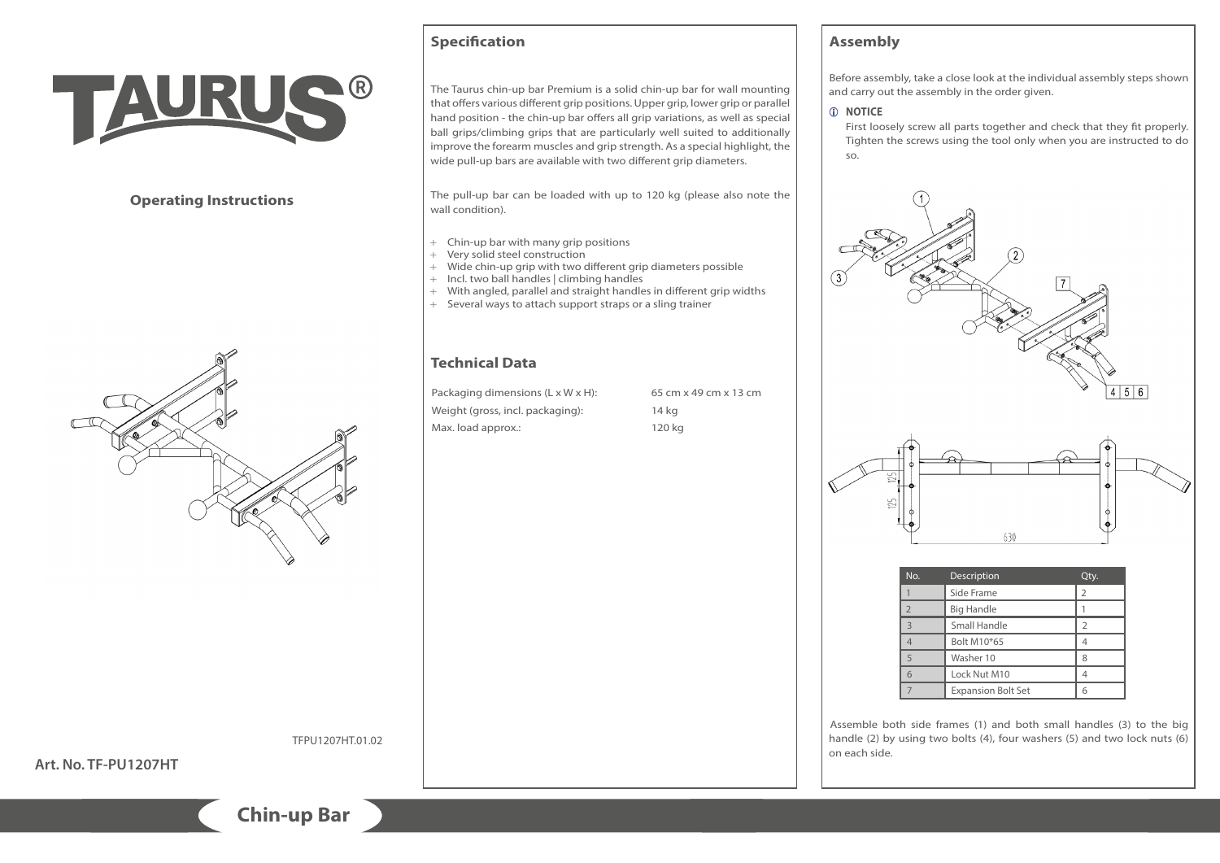

# **Operating Instructions**



TFPU1207HT.01.02

**Art. No. TF-PU1207HT**

# **Specification**

The Taurus chin-up bar Premium is a solid chin-up bar for wall mounting that offers various different grip positions. Upper grip, lower grip or parallel hand position - the chin-up bar offers all grip variations, as well as special ball grips/climbing grips that are particularly well suited to additionally improve the forearm muscles and grip strength. As a special highlight, the wide pull-up bars are available with two different grip diameters.

The pull-up bar can be loaded with up to 120 kg (please also note the wall condition).

- + Chin-up bar with many grip positions
- + Very solid steel construction
- + Wide chin-up grip with two different grip diameters possible
- 
- + Incl. two ball handles | climbing handles<br>+ With angled, parallel and straight handle With angled, parallel and straight handles in different grip widths
- + Several ways to attach support straps or a sling trainer

# **Technical Data**

Packaging dimensions (L x W x H): 65 cm x 49 cm x 13 cm Weight (gross, incl. packaging): 14 kg Max. load approx.: 120 kg

# **Assembly**

Before assembly, take a close look at the individual assembly steps shown and carry out the assembly in the order given.

### *C* **NOTICE**

First loosely screw all parts together and check that they fit properly. Tighten the screws using the tool only when you are instructed to do so.





| No.            | Description               | Qty.           |
|----------------|---------------------------|----------------|
|                | Side Frame                | $\overline{2}$ |
| $\overline{2}$ | <b>Big Handle</b>         |                |
| $\overline{3}$ | Small Handle              |                |
|                | Bolt M10*65               |                |
| 5              | Washer 10                 | 8              |
| 6              | Lock Nut M10              |                |
|                | <b>Expansion Bolt Set</b> |                |

Assemble both side frames (1) and both small handles (3) to the big handle (2) by using two bolts (4), four washers (5) and two lock nuts (6) on each side.

**Chin-up Bar**